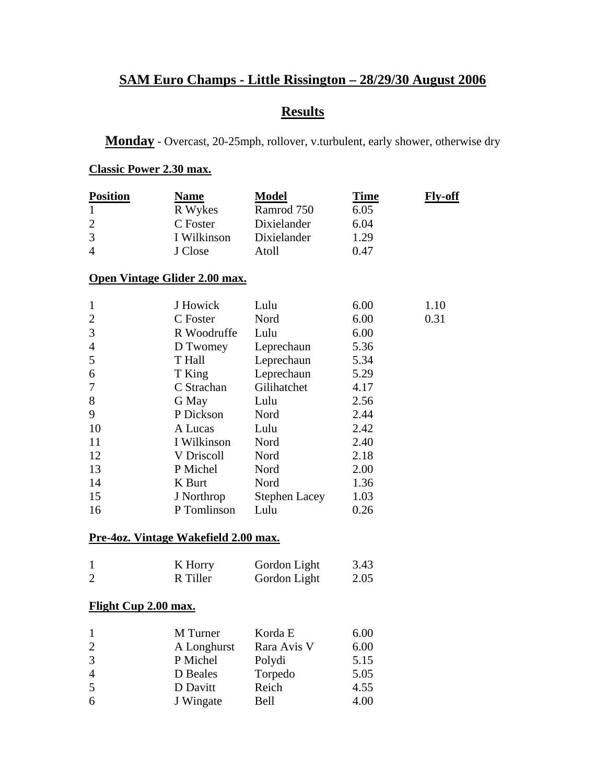# **SAM Euro Champs - Little Rissington – 28/29/30 August 2006**

# **Results**

**Monday** - Overcast, 20-25mph, rollover, v.turbulent, early shower, otherwise dry

#### **Classic Power 2.30 max.**

| <b>Position</b><br>$\mathbf{1}$ | <b>Name</b><br>R Wykes                      | <b>Model</b><br>Ramrod 750 | <u>Time</u><br>6.05 | <u>Fly-off</u> |
|---------------------------------|---------------------------------------------|----------------------------|---------------------|----------------|
| $\overline{2}$                  | C Foster                                    | Dixielander                | 6.04                |                |
| 3                               | I Wilkinson                                 | Dixielander                | 1.29                |                |
| $\overline{4}$                  | J Close                                     | Atoll                      | 0.47                |                |
|                                 | <u>Open Vintage Glider 2.00 max.</u>        |                            |                     |                |
| $\mathbf{1}$                    | J Howick                                    | Lulu                       | 6.00                | 1.10           |
| $\overline{c}$                  | C Foster                                    | Nord                       | 6.00                | 0.31           |
| 3                               | R Woodruffe                                 | Lulu                       | 6.00                |                |
| 4                               | D Twomey                                    | Leprechaun                 | 5.36                |                |
| 5                               | T Hall                                      | Leprechaun                 | 5.34                |                |
| 6                               | T King                                      | Leprechaun                 | 5.29                |                |
| 7                               | C Strachan                                  | Gilihatchet                | 4.17                |                |
| 8                               | G May                                       | Lulu                       | 2.56                |                |
| 9                               | P Dickson                                   | Nord                       | 2.44                |                |
| 10                              | A Lucas                                     | Lulu                       | 2.42                |                |
| 11                              | I Wilkinson                                 | Nord                       | 2.40                |                |
| 12                              | V Driscoll                                  | Nord                       | 2.18                |                |
| 13                              | P Michel                                    | Nord                       | 2.00                |                |
| 14                              | K Burt                                      | Nord                       | 1.36                |                |
| 15                              | J Northrop                                  | <b>Stephen Lacey</b>       | 1.03                |                |
| 16                              | P Tomlinson                                 | Lulu                       | 0.26                |                |
|                                 | <u>Pre-4oz. Vintage Wakefield 2.00 max.</u> |                            |                     |                |
| $\mathbf{1}$                    | K Horry                                     | Gordon Light               | 3.43                |                |
| 2                               | R Tiller                                    | Gordon Light               | 2.05                |                |
| <b>Flight Cup 2.00 max.</b>     |                                             |                            |                     |                |
| $\mathbf{I}$                    | M Turner                                    | Korda E                    | 6.00                |                |
| $\overline{c}$                  | A Longhurst                                 | Rara Avis V                | 6.00                |                |
| 3                               | P Michel                                    | Polydi                     | 5.15                |                |
| $\overline{4}$                  | D Beales                                    | Torpedo                    | 5.05                |                |
| 5                               | D Davitt                                    | Reich                      | 4.55                |                |
| 6                               | J Wingate                                   | Bell                       | 4.00                |                |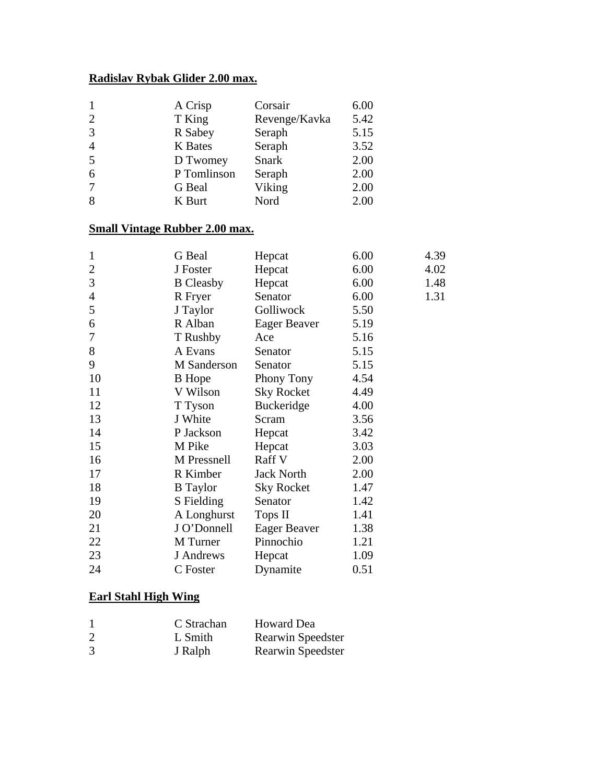### **Radislav Rybak Glider 2.00 max.**

| $\mathbf{1}$   | A Crisp        | Corsair       | 6.00 |
|----------------|----------------|---------------|------|
| $\overline{2}$ | T King         | Revenge/Kavka | 5.42 |
| 3              | R Sabey        | Seraph        | 5.15 |
| $\overline{4}$ | <b>K</b> Bates | Seraph        | 3.52 |
| 5              | D Twomey       | <b>Snark</b>  | 2.00 |
| 6              | P Tomlinson    | Seraph        | 2.00 |
| 7              | G Beal         | Viking        | 2.00 |
| 8              | K Burt         | Nord          | 2.00 |

#### **Small Vintage Rubber 2.00 max.**

| 1              | G Beal           | Hepcat              | 6.00 | 4.39 |
|----------------|------------------|---------------------|------|------|
| 2              | J Foster         | Hepcat              | 6.00 | 4.02 |
| 3              | <b>B</b> Cleasby | Hepcat              | 6.00 | 1.48 |
| $\overline{4}$ | R Fryer          | Senator             | 6.00 | 1.31 |
| 5              | J Taylor         | Golliwock           | 5.50 |      |
| 6              | R Alban          | <b>Eager Beaver</b> | 5.19 |      |
| 7              | T Rushby         | Ace                 | 5.16 |      |
| 8              | A Evans          | Senator             | 5.15 |      |
| 9              | M Sanderson      | Senator             | 5.15 |      |
| 10             | <b>B</b> Hope    | Phony Tony          | 4.54 |      |
| 11             | V Wilson         | <b>Sky Rocket</b>   | 4.49 |      |
| 12             | T Tyson          | <b>Buckeridge</b>   | 4.00 |      |
| 13             | J White          | Scram               | 3.56 |      |
| 14             | P Jackson        | Hepcat              | 3.42 |      |
| 15             | M Pike           | Hepcat              | 3.03 |      |
| 16             | M Pressnell      | Raff V              | 2.00 |      |
| 17             | R Kimber         | <b>Jack North</b>   | 2.00 |      |
| 18             | <b>B</b> Taylor  | <b>Sky Rocket</b>   | 1.47 |      |
| 19             | S Fielding       | Senator             | 1.42 |      |
| 20             | A Longhurst      | Tops II             | 1.41 |      |
| 21             | J O'Donnell      | <b>Eager Beaver</b> | 1.38 |      |
| 22             | M Turner         | Pinnochio           | 1.21 |      |
| 23             | J Andrews        | Hepcat              | 1.09 |      |
| 24             | C Foster         | Dynamite            | 0.51 |      |

#### **Earl Stahl High Wing**

|                | C Strachan | <b>Howard Dea</b>        |
|----------------|------------|--------------------------|
| $\overline{2}$ | L Smith    | <b>Rearwin Speedster</b> |
| 3              | J Ralph    | Rearwin Speedster        |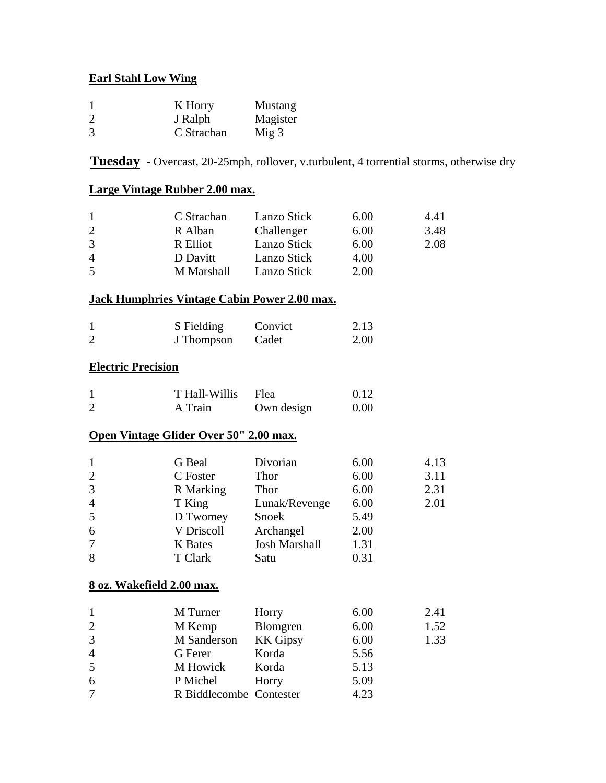#### **Earl Stahl Low Wing**

| $\mathbf{1}$   | K Horry    | Mustang          |
|----------------|------------|------------------|
| $\overline{2}$ | J Ralph    | Magister         |
| 3              | C Strachan | Mig <sub>3</sub> |

**Tuesday** - Overcast, 20-25mph, rollover, v.turbulent, 4 torrential storms, otherwise dry

#### **Large Vintage Rubber 2.00 max.**

| $\mathbf{1}$<br>$\overline{c}$<br>3<br>$\overline{4}$<br>5                                 | C Strachan<br>R Alban<br>R Elliot<br>D Davitt<br>M Marshall                                                                   | Lanzo Stick<br>Challenger<br>Lanzo Stick<br>Lanzo Stick<br>Lanzo Stick                          | 6.00<br>6.00<br>6.00<br>4.00<br>2.00                         | 4.41<br>3.48<br>2.08         |
|--------------------------------------------------------------------------------------------|-------------------------------------------------------------------------------------------------------------------------------|-------------------------------------------------------------------------------------------------|--------------------------------------------------------------|------------------------------|
|                                                                                            | <b>Jack Humphries Vintage Cabin Power 2.00 max.</b>                                                                           |                                                                                                 |                                                              |                              |
| $\mathbf{1}$<br>$\overline{2}$                                                             | S Fielding<br>J Thompson                                                                                                      | Convict<br>Cadet                                                                                | 2.13<br>2.00                                                 |                              |
| <b>Electric Precision</b>                                                                  |                                                                                                                               |                                                                                                 |                                                              |                              |
| $\mathbf{1}$<br>$\overline{2}$                                                             | T Hall-Willis<br>A Train                                                                                                      | Flea<br>Own design                                                                              | 0.12<br>0.00                                                 |                              |
|                                                                                            | Open Vintage Glider Over 50" 2.00 max.                                                                                        |                                                                                                 |                                                              |                              |
| $\mathbf{1}$<br>$\overline{c}$<br>3<br>$\overline{4}$<br>5<br>6<br>7<br>8                  | G Beal<br>C Foster<br>R Marking<br>T King<br>D Twomey<br>V Driscoll<br><b>K</b> Bates<br>T Clark<br>8 oz. Wakefield 2.00 max. | Divorian<br>Thor<br>Thor<br>Lunak/Revenge<br>Snoek<br>Archangel<br><b>Josh Marshall</b><br>Satu | 6.00<br>6.00<br>6.00<br>6.00<br>5.49<br>2.00<br>1.31<br>0.31 | 4.13<br>3.11<br>2.31<br>2.01 |
| $\mathbf{1}$<br>$\overline{\mathbf{c}}$<br>3<br>$\overline{4}$<br>5<br>6<br>$\overline{7}$ | M Turner<br>M Kemp<br>M Sanderson<br>G Ferer<br>M Howick<br>P Michel<br>R Biddlecombe                                         | Horry<br>Blomgren<br><b>KK</b> Gipsy<br>Korda<br>Korda<br>Horry<br>Contester                    | 6.00<br>6.00<br>6.00<br>5.56<br>5.13<br>5.09<br>4.23         | 2.41<br>1.52<br>1.33         |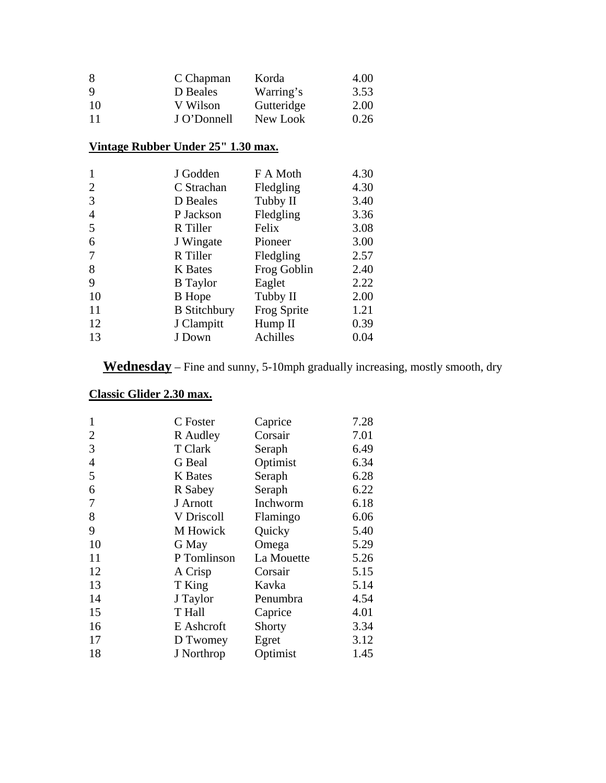| 8   | C Chapman   | Korda      | 4.00 |
|-----|-------------|------------|------|
| 9   | D Beales    | Warring's  | 3.53 |
| 10  | V Wilson    | Gutteridge | 2.00 |
| -11 | J O'Donnell | New Look   | 0.26 |

#### **Vintage Rubber Under 25" 1.30 max.**

| $\mathbf{1}$   | J Godden            | F A Moth    | 4.30 |
|----------------|---------------------|-------------|------|
| $\overline{2}$ | C Strachan          | Fledgling   | 4.30 |
| 3              | D Beales            | Tubby II    | 3.40 |
| $\overline{4}$ | P Jackson           | Fledgling   | 3.36 |
| 5              | R Tiller            | Felix       | 3.08 |
| 6              | J Wingate           | Pioneer     | 3.00 |
| 7              | R Tiller            | Fledgling   | 2.57 |
| 8              | <b>K</b> Bates      | Frog Goblin | 2.40 |
| 9              | <b>B</b> Taylor     | Eaglet      | 2.22 |
| 10             | <b>B</b> Hope       | Tubby II    | 2.00 |
| 11             | <b>B</b> Stitchbury | Frog Sprite | 1.21 |
| 12             | J Clampitt          | Hump II     | 0.39 |
| 13             | J Down              | Achilles    | 0.04 |
|                |                     |             |      |

**Wednesday** – Fine and sunny, 5-10mph gradually increasing, mostly smooth, dry

## **Classic Glider 2.30 max.**

| $\mathbf{1}$   | C Foster       | Caprice    | 7.28 |
|----------------|----------------|------------|------|
| $\overline{2}$ | R Audley       | Corsair    | 7.01 |
| 3              | T Clark        | Seraph     | 6.49 |
| $\overline{4}$ | G Beal         | Optimist   | 6.34 |
| 5              | <b>K</b> Bates | Seraph     | 6.28 |
| 6              | R Sabey        | Seraph     | 6.22 |
| 7              | J Arnott       | Inchworm   | 6.18 |
| 8              | V Driscoll     | Flamingo   | 6.06 |
| 9              | M Howick       | Quicky     | 5.40 |
| 10             | G May          | Omega      | 5.29 |
| 11             | P Tomlinson    | La Mouette | 5.26 |
| 12             | A Crisp        | Corsair    | 5.15 |
| 13             | T King         | Kavka      | 5.14 |
| 14             | J Taylor       | Penumbra   | 4.54 |
| 15             | T Hall         | Caprice    | 4.01 |
| 16             | E Ashcroft     | Shorty     | 3.34 |
| 17             | D Twomey       | Egret      | 3.12 |
| 18             | J Northrop     | Optimist   | 1.45 |
|                |                |            |      |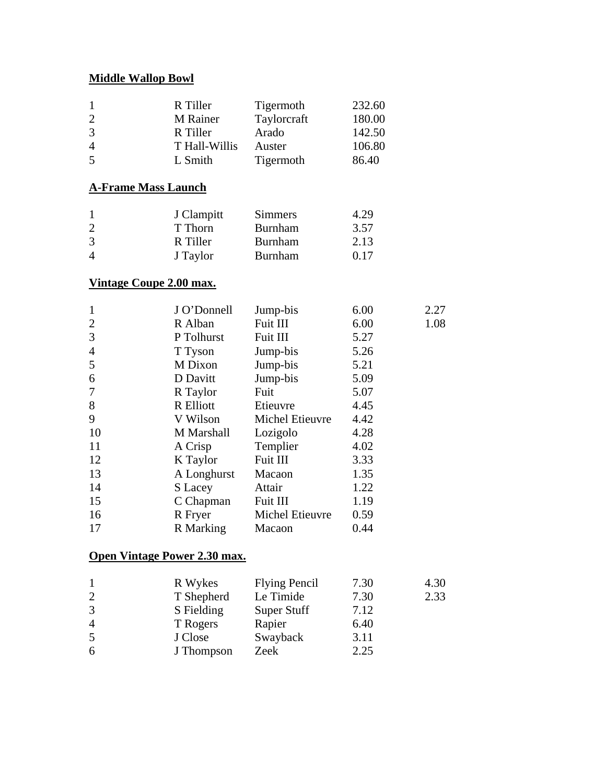### **Middle Wallop Bowl**

| $\mathbf{1}$<br>$\overline{c}$ | R Tiller<br>M Rainer         | Tigermoth<br>Taylorcraft | 232.60<br>180.00 |      |
|--------------------------------|------------------------------|--------------------------|------------------|------|
| 3                              | R Tiller                     | Arado                    | 142.50           |      |
| 4                              | T Hall-Willis                | Auster                   | 106.80           |      |
| 5                              | L Smith                      | Tigermoth                | 86.40            |      |
|                                | <u>A-Frame Mass Launch</u>   |                          |                  |      |
| $\mathbf{1}$                   | J Clampitt                   | <b>Simmers</b>           | 4.29             |      |
| $\overline{\mathbf{c}}$        | T Thorn                      | <b>Burnham</b>           | 3.57             |      |
| 3                              | R Tiller                     | <b>Burnham</b>           | 2.13             |      |
| $\overline{4}$                 | J Taylor                     | <b>Burnham</b>           | 0.17             |      |
|                                | Vintage Coupe 2.00 max.      |                          |                  |      |
| $\mathbf{1}$                   | J O'Donnell                  | Jump-bis                 | 6.00             | 2.27 |
| $\overline{c}$                 | R Alban                      | Fuit III                 | 6.00             | 1.08 |
| 3                              | P Tolhurst                   | Fuit III                 | 5.27             |      |
| $\overline{4}$                 | T Tyson                      | Jump-bis                 | 5.26             |      |
| 5                              | M Dixon                      | Jump-bis                 | 5.21             |      |
| 6                              | D Davitt                     | Jump-bis                 | 5.09             |      |
| 7                              | R Taylor                     | Fuit                     | 5.07             |      |
| 8                              | R Elliott                    | Etieuvre                 | 4.45             |      |
| 9                              | V Wilson                     | Michel Etieuvre          | 4.42             |      |
| 10                             | M Marshall                   | Lozigolo                 | 4.28             |      |
| 11                             | A Crisp                      | Templier                 | 4.02             |      |
| 12                             | K Taylor                     | Fuit III                 | 3.33             |      |
| 13                             | A Longhurst                  | Macaon                   | 1.35             |      |
| 14                             | S Lacey                      | Attair                   | 1.22             |      |
| 15                             | C Chapman                    | Fuit III                 | 1.19             |      |
| 16                             | R Fryer                      | Michel Etieuvre          | 0.59             |      |
| 17                             | R Marking                    | Macaon                   | 0.44             |      |
|                                | Open Vintage Power 2.30 max. |                          |                  |      |
| 1                              | R Wykes                      | <b>Flying Pencil</b>     | 7.30             | 4.30 |
| $\mathcal{L}$                  | T Shanhard                   | Le Timide                | 7.30             | 2.32 |

|                | IN WYNUS   | TTYING TURIT | 1.50 | T.U  |
|----------------|------------|--------------|------|------|
| $\overline{2}$ | T Shepherd | Le Timide    | 7.30 | 2.33 |
| 3              | S Fielding | Super Stuff  | 7.12 |      |
| 4              | T Rogers   | Rapier       | 6.40 |      |
| 5              | J Close    | Swayback     | 3.11 |      |
| 6              | J Thompson | Zeek         | 2.25 |      |